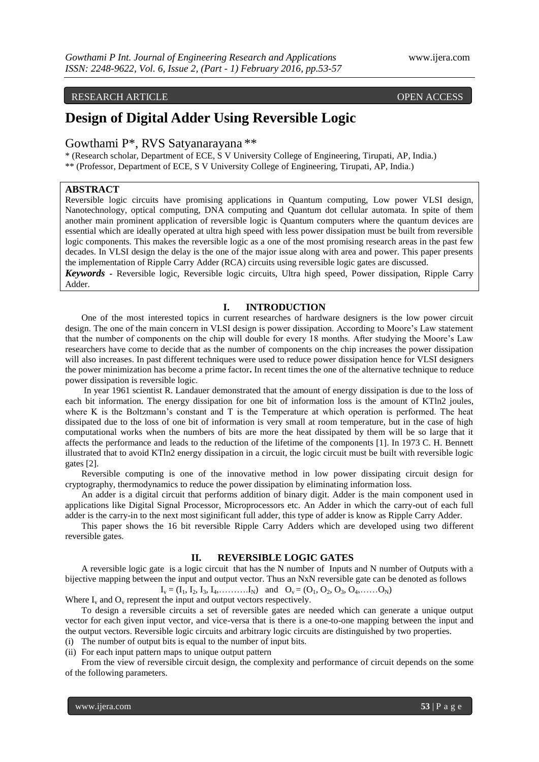# RESEARCH ARTICLE **CONSERVERS** OPEN ACCESS

# **Design of Digital Adder Using Reversible Logic**

# Gowthami P\*, RVS Satyanarayana \*\*

\* (Research scholar, Department of ECE, S V University College of Engineering, Tirupati, AP, India.) \*\* (Professor, Department of ECE, S V University College of Engineering, Tirupati, AP, India.)

# **ABSTRACT**

Reversible logic circuits have promising applications in Quantum computing, Low power VLSI design, Nanotechnology, optical computing, DNA computing and Quantum dot cellular automata. In spite of them another main prominent application of reversible logic is Quantum computers where the quantum devices are essential which are ideally operated at ultra high speed with less power dissipation must be built from reversible logic components. This makes the reversible logic as a one of the most promising research areas in the past few decades. In VLSI design the delay is the one of the major issue along with area and power. This paper presents the implementation of Ripple Carry Adder (RCA) circuits using reversible logic gates are discussed.

*Keywords -* Reversible logic, Reversible logic circuits, Ultra high speed, Power dissipation, Ripple Carry Adder.

### **I. INTRODUCTION**

One of the most interested topics in current researches of hardware designers is the low power circuit design. The one of the main concern in VLSI design is power dissipation. According to Moore's Law statement that the number of components on the chip will double for every 18 months. After studying the Moore's Law researchers have come to decide that as the number of components on the chip increases the power dissipation will also increases. In past different techniques were used to reduce power dissipation hence for VLSI designers the power minimization has become a prime factor**.** In recent times the one of the alternative technique to reduce power dissipation is reversible logic.

In year 1961 scientist R. Landauer demonstrated that the amount of energy dissipation is due to the loss of each bit information. The energy dissipation for one bit of information loss is the amount of KTln2 joules, where K is the Boltzmann's constant and T is the Temperature at which operation is performed. The heat dissipated due to the loss of one bit of information is very small at room temperature, but in the case of high computational works when the numbers of bits are more the heat dissipated by them will be so large that it affects the performance and leads to the reduction of the lifetime of the components [1]. In 1973 C. H. Bennett illustrated that to avoid KTln2 energy dissipation in a circuit, the logic circuit must be built with reversible logic gates [2].

Reversible computing is one of the innovative method in low power dissipating circuit design for cryptography, thermodynamics to reduce the power dissipation by eliminating information loss.

An adder is a digital circuit that performs addition of binary digit. Adder is the main component used in applications like Digital Signal Processor, Microprocessors etc. An Adder in which the carry-out of each full adder is the carry-in to the next most siginificant full adder, this type of adder is know as Ripple Carry Adder.

This paper shows the 16 bit reversible Ripple Carry Adders which are developed using two different reversible gates.

### **II. REVERSIBLE LOGIC GATES**

A reversible logic gate is a logic circuit that has the N number of Inputs and N number of Outputs with a bijective mapping between the input and output vector. Thus an NxN reversible gate can be denoted as follows  $I_v = (I_1, I_2, I_3, I_4, \ldots, I_N)$  and  $O_v = (O_1, O_2, O_3, O_4, \ldots, O_N)$ 

Where  $I_v$  and  $O_v$  represent the input and output vectors respectively.

To design a reversible circuits a set of reversible gates are needed which can generate a unique output vector for each given input vector, and vice-versa that is there is a one-to-one mapping between the input and the output vectors. Reversible logic circuits and arbitrary logic circuits are distinguished by two properties.

(i) The number of output bits is equal to the number of input bits.

(ii) For each input pattern maps to unique output pattern

From the view of reversible circuit design, the complexity and performance of circuit depends on the some of the following parameters.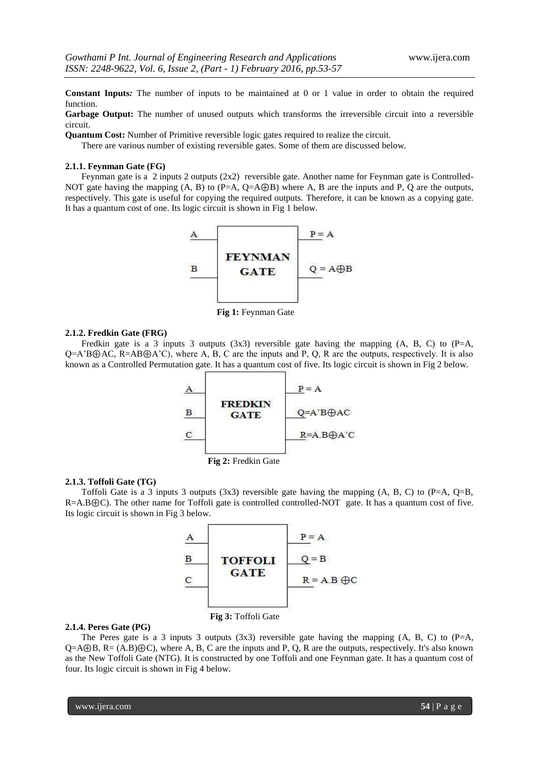**Constant Inputs***:* The number of inputs to be maintained at 0 or 1 value in order to obtain the required function.

Garbage Output: The number of unused outputs which transforms the irreversible circuit into a reversible circuit.

**Quantum Cost:** Number of Primitive reversible logic gates required to realize the circuit.

There are various number of existing reversible gates. Some of them are discussed below.

#### **2.1.1. Feynman Gate (FG)**

Feynman gate is a 2 inputs 2 outputs (2x2) reversible gate. Another name for Feynman gate is Controlled-NOT gate having the mapping  $(A, B)$  to  $(P=A, Q=A\oplus B)$  where A, B are the inputs and P, Q are the outputs, respectively. This gate is useful for copying the required outputs. Therefore, it can be known as a copying gate. It has a quantum cost of one. Its logic circuit is shown in Fig 1 below.



 **Fig 1:** Feynman Gate

### **2.1.2. Fredkin Gate (FRG)**

Fredkin gate is a 3 inputs 3 outputs (3x3) reversible gate having the mapping (A, B, C) to (P=A, Q=A'B⊕AC, R=AB⊕A'C), where A, B, C are the inputs and P, Q, R are the outputs, respectively. It is also known as a Controlled Permutation gate. It has a quantum cost of five. Its logic circuit is shown in Fig 2 below.





#### **2.1.3. Toffoli Gate (TG)**

Toffoli Gate is a 3 inputs 3 outputs  $(3x3)$  reversible gate having the mapping  $(A, B, C)$  to  $(P=A, Q=B, Q)$ R=A.B⊕C). The other name for Toffoli gate is controlled controlled-NOT gate. It has a quantum cost of five. Its logic circuit is shown in Fig 3 below.



#### **2.1.4. Peres Gate (PG)**

 **Fig 3:** Toffoli Gate

The Peres gate is a 3 inputs 3 outputs  $(3x3)$  reversible gate having the mapping  $(A, B, C)$  to  $(P=A, B)$ Q=A⊕B, R= (A.B)⊕C), where A, B, C are the inputs and P, Q, R are the outputs, respectively. It's also known as the New Toffoli Gate (NTG). It is constructed by one Toffoli and one Feynman gate. It has a quantum cost of four. Its logic circuit is shown in Fig 4 below.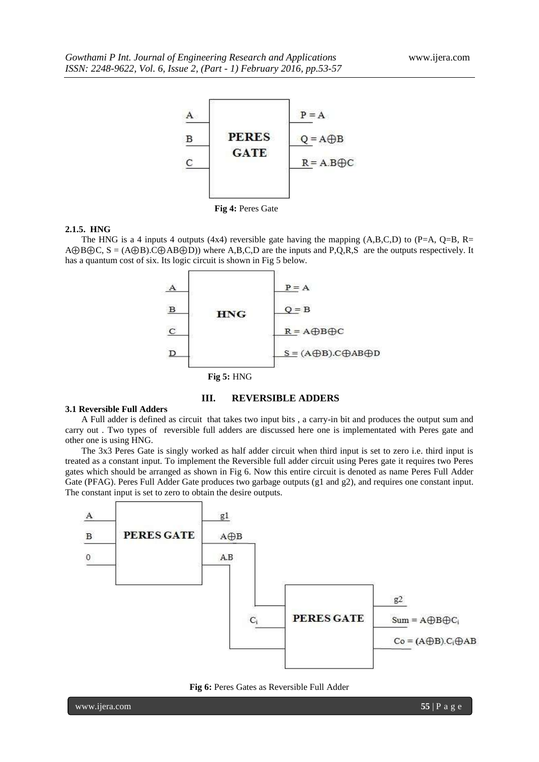

 **Fig 4:** Peres Gate

#### **2.1.5. HNG**

The HNG is a 4 inputs 4 outputs (4x4) reversible gate having the mapping  $(A,B,C,D)$  to  $(P=A, Q=B, R=$ A⊕B⊕C, S = (A⊕B).C⊕AB⊕D)) where A,B,C,D are the inputs and P,Q,R,S are the outputs respectively. It has a quantum cost of six. Its logic circuit is shown in Fig 5 below.



#### **III. REVERSIBLE ADDERS**

# **3.1 Reversible Full Adders**

A Full adder is defined as circuit that takes two input bits , a carry-in bit and produces the output sum and carry out . Two types of reversible full adders are discussed here one is implementated with Peres gate and other one is using HNG.

The 3x3 Peres Gate is singly worked as half adder circuit when third input is set to zero i.e. third input is treated as a constant input. To implement the Reversible full adder circuit using Peres gate it requires two Peres gates which should be arranged as shown in Fig 6. Now this entire circuit is denoted as name Peres Full Adder Gate (PFAG). Peres Full Adder Gate produces two garbage outputs (g1 and g2), and requires one constant input. The constant input is set to zero to obtain the desire outputs.



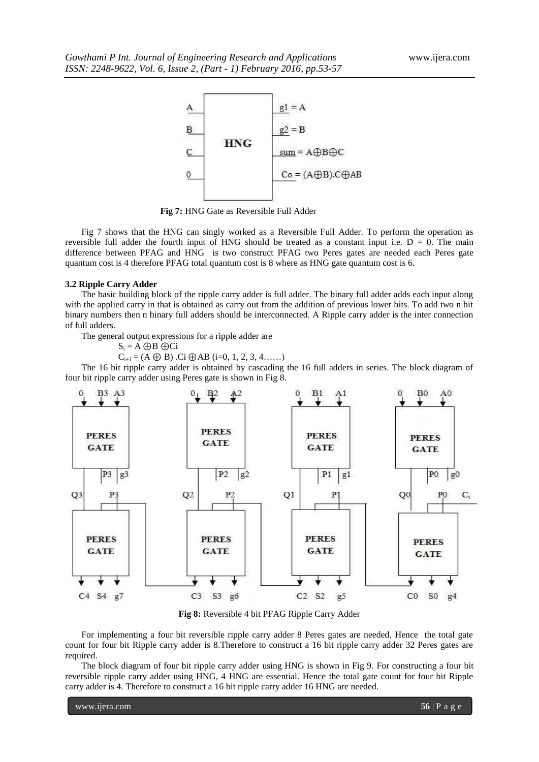

 **Fig 7:** HNG Gate as Reversible Full Adder

Fig 7 shows that the HNG can singly worked as a Reversible Full Adder. To perform the operation as reversible full adder the fourth input of HNG should be treated as a constant input i.e.  $D = 0$ . The main difference between PFAG and HNG is two construct PFAG two Peres gates are needed each Peres gate quantum cost is 4 therefore PFAG total quantum cost is 8 where as HNG gate quantum cost is 6.

#### **3.2 Ripple Carry Adder**

The basic building block of the ripple carry adder is full adder. The binary full adder adds each input along with the applied carry in that is obtained as carry out from the addition of previous lower bits. To add two n bit binary numbers then n binary full adders should be interconnected. A Ripple carry adder is the inter connection of full adders.

The general output expressions for a ripple adder are

$$
\mathbf{S}_i = \mathbf{A} \oplus \mathbf{B} \oplus \mathbf{C} \mathbf{i}
$$

 $C_{i+1} = (A \oplus B)$ .Ci  $\oplus AB$  (i=0, 1, 2, 3, 4……)

The 16 bit ripple carry adder is obtained by cascading the 16 full adders in series. The block diagram of four bit ripple carry adder using Peres gate is shown in Fig 8.



**Fig 8:** Reversible 4 bit PFAG Ripple Carry Adder

For implementing a four bit reversible ripple carry adder 8 Peres gates are needed. Hence the total gate count for four bit Ripple carry adder is 8.Therefore to construct a 16 bit ripple carry adder 32 Peres gates are required.

The block diagram of four bit ripple carry adder using HNG is shown in Fig 9. For constructing a four bit reversible ripple carry adder using HNG, 4 HNG are essential. Hence the total gate count for four bit Ripple carry adder is 4. Therefore to construct a 16 bit ripple carry adder 16 HNG are needed.

www.ijera.com **56** | P a g e